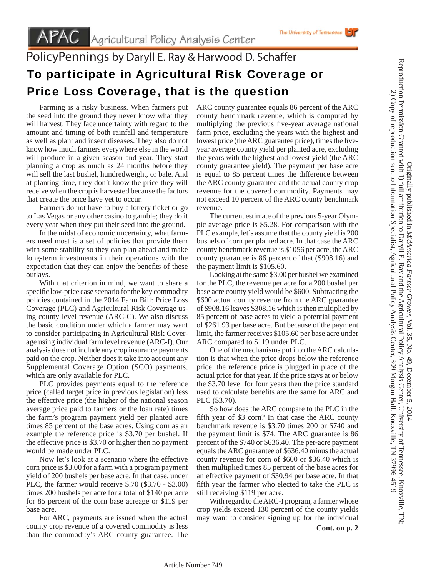## PolicyPennings by Daryll E. Ray & Harwood D. Schaffer To participate in Agricultural Risk Coverage or Price Loss Coverage, that is the question

 Farming is a risky business. When farmers put the seed into the ground they never know what they will harvest. They face uncertainty with regard to the amount and timing of both rainfall and temperature as well as plant and insect diseases. They also do not know how much farmers everywhere else in the world will produce in a given season and year. They start planning a crop as much as 24 months before they will sell the last bushel, hundredweight, or bale. And at planting time, they don't know the price they will receive when the crop is harvested because the factors that create the price have yet to occur.

 Farmers do not have to buy a lottery ticket or go to Las Vegas or any other casino to gamble; they do it every year when they put their seed into the ground.

 In the midst of economic uncertainty, what farmers need most is a set of policies that provide them with some stability so they can plan ahead and make long-term investments in their operations with the expectation that they can enjoy the benefits of these outlays.

 With that criterion in mind, we want to share a specific low-price case scenario for the key commodity policies contained in the 2014 Farm Bill: Price Loss Coverage (PLC) and Agricultural Risk Coverage using county level revenue (ARC-C). We also discuss the basic condition under which a farmer may want to consider participating in Agricultural Risk Coverage using individual farm level revenue (ARC-I). Our analysis does not include any crop insurance payments paid on the crop. Neither does it take into account any Supplemental Coverage Option (SCO) payments, which are only available for PLC.

 PLC provides payments equal to the reference price (called target price in previous legislation) less the effective price (the higher of the national season average price paid to farmers or the loan rate) times the farm's program payment yield per planted acre times 85 percent of the base acres. Using corn as an example the reference price is \$3.70 per bushel. If the effective price is \$3.70 or higher then no payment would be made under PLC.

 Now let's look at a scenario where the effective corn price is \$3.00 for a farm with a program payment yield of 200 bushels per base acre. In that case, under PLC, the farmer would receive \$.70 (\$3.70 - \$3.00) times 200 bushels per acre for a total of \$140 per acre for 85 percent of the corn base acreage or \$119 per base acre.

 For ARC, payments are issued when the actual county crop revenue of a covered commodity is less than the commodity's ARC county guarantee. The

ARC county guarantee equals 86 percent of the ARC county benchmark revenue, which is computed by multiplying the previous five-year average national farm price, excluding the years with the highest and lowest price (the ARC guarantee price), times the fiveyear average county yield per planted acre, excluding the years with the highest and lowest yield (the ARC county guarantee yield). The payment per base acre is equal to 85 percent times the difference between the ARC county guarantee and the actual county crop revenue for the covered commodity. Payments may not exceed 10 percent of the ARC county benchmark revenue.

 The current estimate of the previous 5-year Olympic average price is \$5.28. For comparison with the PLC example, let's assume that the county yield is 200 bushels of corn per planted acre. In that case the ARC county benchmark revenue is \$1056 per acre, the ARC county guarantee is 86 percent of that (\$908.16) and the payment limit is \$105.60.

 Looking at the same \$3.00 per bushel we examined for the PLC, the revenue per acre for a 200 bushel per base acre county yield would be \$600. Subtracting the \$600 actual county revenue from the ARC guarantee of \$908.16 leaves \$308.16 which is then multiplied by 85 percent of base acres to yield a potential payment of \$261.93 per base acre. But because of the payment limit, the farmer receives \$105.60 per base acre under ARC compared to \$119 under PLC.

 One of the mechanisms put into the ARC calculation is that when the price drops below the reference price, the reference price is plugged in place of the actual price for that year. If the price stays at or below the \$3.70 level for four years then the price standard used to calculate benefits are the same for ARC and PLC (\$3.70).

 So how does the ARC compare to the PLC in the fifth year of \$3 corn? In that case the ARC county benchmark revenue is \$3.70 times 200 or \$740 and the payment limit is \$74. The ARC guarantee is 86 percent of the \$740 or \$636.40. The per-acre payment equals the ARC guarantee of \$636.40 minus the actual county revenue for corn of \$600 or \$36.40 which is then multiplied times 85 percent of the base acres for an effective payment of \$30.94 per base acre. In that fifth year the farmer who elected to take the PLC is still receiving \$119 per acre.

 With regard to the ARC-I program, a farmer whose crop yields exceed 130 percent of the county yields may want to consider signing up for the individual